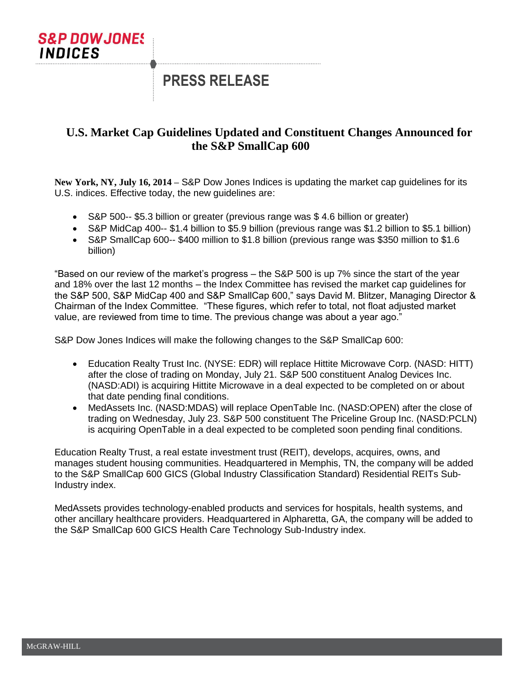**S&P DOW JONES** *INDICES* 

### **PRESS RELEASE**

### **U.S. Market Cap Guidelines Updated and Constituent Changes Announced for the S&P SmallCap 600**

**New York, NY, July 16, 2014 –** S&P Dow Jones Indices is updating the market cap guidelines for its U.S. indices. Effective today, the new guidelines are:

- S&P 500-- \$5.3 billion or greater (previous range was \$ 4.6 billion or greater)
- S&P MidCap 400-- \$1.4 billion to \$5.9 billion (previous range was \$1.2 billion to \$5.1 billion)
- S&P SmallCap 600-- \$400 million to \$1.8 billion (previous range was \$350 million to \$1.6 billion)

"Based on our review of the market's progress – the S&P 500 is up 7% since the start of the year and 18% over the last 12 months – the Index Committee has revised the market cap guidelines for the S&P 500, S&P MidCap 400 and S&P SmallCap 600," says David M. Blitzer, Managing Director & Chairman of the Index Committee. "These figures, which refer to total, not float adjusted market value, are reviewed from time to time. The previous change was about a year ago."

S&P Dow Jones Indices will make the following changes to the S&P SmallCap 600:

- Education Realty Trust Inc. (NYSE: EDR) will replace Hittite Microwave Corp. (NASD: HITT) after the close of trading on Monday, July 21. S&P 500 constituent Analog Devices Inc. (NASD:ADI) is acquiring Hittite Microwave in a deal expected to be completed on or about that date pending final conditions.
- MedAssets Inc. (NASD:MDAS) will replace OpenTable Inc. (NASD:OPEN) after the close of trading on Wednesday, July 23. S&P 500 constituent The Priceline Group Inc. (NASD:PCLN) is acquiring OpenTable in a deal expected to be completed soon pending final conditions.

Education Realty Trust, a real estate investment trust (REIT), develops, acquires, owns, and manages student housing communities. Headquartered in Memphis, TN, the company will be added to the S&P SmallCap 600 GICS (Global Industry Classification Standard) Residential REITs Sub-Industry index.

MedAssets provides technology-enabled products and services for hospitals, health systems, and other ancillary healthcare providers. Headquartered in Alpharetta, GA, the company will be added to the S&P SmallCap 600 GICS Health Care Technology Sub-Industry index.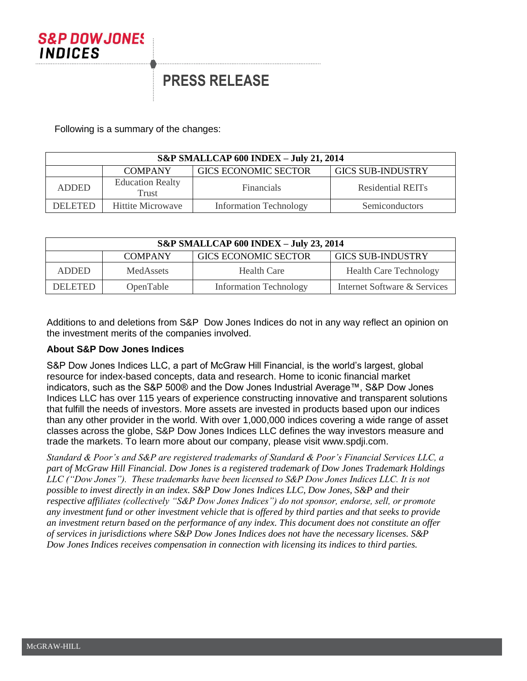

# **PRESS RELEASE**

Following is a summary of the changes:

| S&P SMALLCAP 600 INDEX - July 21, 2014 |                                  |                               |                          |  |  |
|----------------------------------------|----------------------------------|-------------------------------|--------------------------|--|--|
|                                        | <b>COMPANY</b>                   | <b>GICS ECONOMIC SECTOR</b>   | <b>GICS SUB-INDUSTRY</b> |  |  |
| <b>ADDED</b>                           | <b>Education Realty</b><br>Trust | <b>Financials</b>             | Residential REITs        |  |  |
| <b>DELETED</b>                         | <b>Hittite Microwave</b>         | <b>Information Technology</b> | <b>Semiconductors</b>    |  |  |

| $S\&P$ SMALLCAP 600 INDEX - July 23, 2014 |                  |                        |                               |  |  |
|-------------------------------------------|------------------|------------------------|-------------------------------|--|--|
|                                           | <b>COMPANY</b>   | GICS ECONOMIC SECTOR   | <b>GICS SUB-INDUSTRY</b>      |  |  |
| <b>ADDED</b>                              | <b>MedAssets</b> | Health Care            | <b>Health Care Technology</b> |  |  |
| DELETED                                   | OpenTable        | Information Technology | Internet Software & Services  |  |  |

Additions to and deletions from S&P Dow Jones Indices do not in any way reflect an opinion on the investment merits of the companies involved.

#### **About S&P Dow Jones Indices**

S&P Dow Jones Indices LLC, a part of McGraw Hill Financial, is the world's largest, global resource for index-based concepts, data and research. Home to iconic financial market indicators, such as the S&P 500® and the Dow Jones Industrial Average™, S&P Dow Jones Indices LLC has over 115 years of experience constructing innovative and transparent solutions that fulfill the needs of investors. More assets are invested in products based upon our indices than any other provider in the world. With over 1,000,000 indices covering a wide range of asset classes across the globe, S&P Dow Jones Indices LLC defines the way investors measure and trade the markets. To learn more about our company, please visit www.spdji.com.

*Standard & Poor's and S&P are registered trademarks of Standard & Poor's Financial Services LLC, a part of McGraw Hill Financial. Dow Jones is a registered trademark of Dow Jones Trademark Holdings LLC ("Dow Jones"). These trademarks have been licensed to S&P Dow Jones Indices LLC. It is not possible to invest directly in an index. S&P Dow Jones Indices LLC, Dow Jones, S&P and their respective affiliates (collectively "S&P Dow Jones Indices") do not sponsor, endorse, sell, or promote any investment fund or other investment vehicle that is offered by third parties and that seeks to provide an investment return based on the performance of any index. This document does not constitute an offer of services in jurisdictions where S&P Dow Jones Indices does not have the necessary licenses. S&P Dow Jones Indices receives compensation in connection with licensing its indices to third parties.*